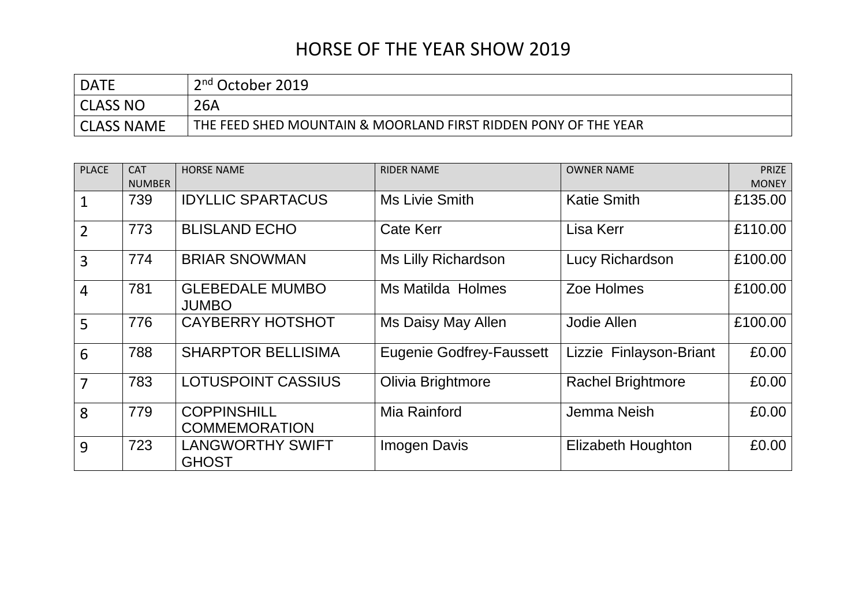## HORSE OF THE YEAR SHOW 2019

| <b>DATE</b>       | 2 <sup>nd</sup> October 2019                                    |
|-------------------|-----------------------------------------------------------------|
| CLASS NO          | 26A                                                             |
| <b>CLASS NAME</b> | THE FEED SHED MOUNTAIN & MOORLAND FIRST RIDDEN PONY OF THE YEAR |

| <b>PLACE</b>   | <b>CAT</b>    | <b>HORSE NAME</b>                          | <b>RIDER NAME</b>               | <b>OWNER NAME</b>         | <b>PRIZE</b> |
|----------------|---------------|--------------------------------------------|---------------------------------|---------------------------|--------------|
|                | <b>NUMBER</b> |                                            |                                 |                           | <b>MONEY</b> |
| $\mathbf{1}$   | 739           | <b>IDYLLIC SPARTACUS</b>                   | <b>Ms Livie Smith</b>           | <b>Katie Smith</b>        | £135.00      |
| $\overline{2}$ | 773           | <b>BLISLAND ECHO</b>                       | <b>Cate Kerr</b>                | Lisa Kerr                 | £110.00      |
| 3              | 774           | <b>BRIAR SNOWMAN</b>                       | Ms Lilly Richardson             | Lucy Richardson           | £100.00      |
| $\overline{4}$ | 781           | <b>GLEBEDALE MUMBO</b><br><b>JUMBO</b>     | <b>Ms Matilda Holmes</b>        | Zoe Holmes                | £100.00      |
| 5              | 776           | <b>CAYBERRY HOTSHOT</b>                    | Ms Daisy May Allen              | Jodie Allen               | £100.00      |
| 6              | 788           | <b>SHARPTOR BELLISIMA</b>                  | <b>Eugenie Godfrey-Faussett</b> | Lizzie Finlayson-Briant   | £0.00        |
| $\overline{7}$ | 783           | <b>LOTUSPOINT CASSIUS</b>                  | Olivia Brightmore               | <b>Rachel Brightmore</b>  | £0.00        |
| 8              | 779           | <b>COPPINSHILL</b><br><b>COMMEMORATION</b> | Mia Rainford                    | Jemma Neish               | £0.00        |
| 9              | 723           | <b>LANGWORTHY SWIFT</b><br><b>GHOST</b>    | <b>Imogen Davis</b>             | <b>Elizabeth Houghton</b> | £0.00        |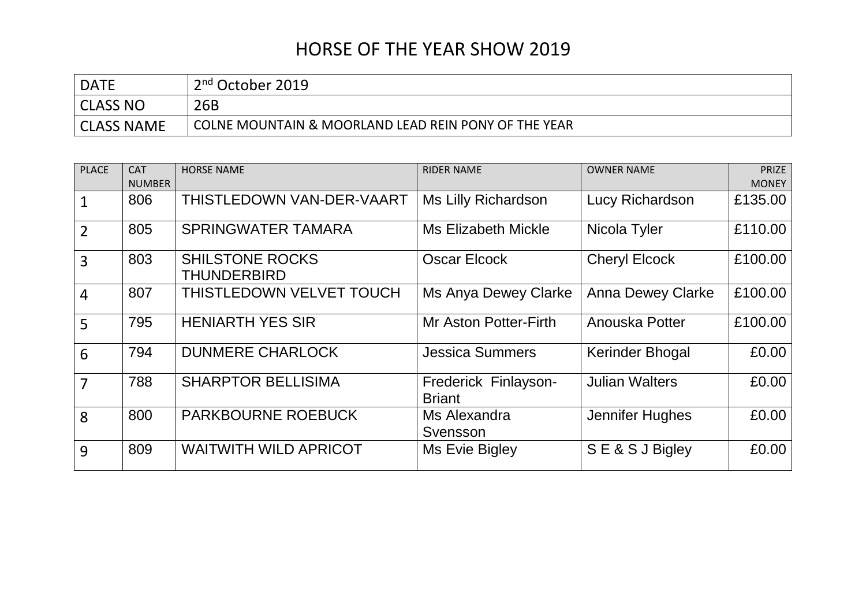## HORSE OF THE YEAR SHOW 2019

| <b>DATE</b>       | 2 <sup>nd</sup> October 2019                         |
|-------------------|------------------------------------------------------|
| CLASS NO          | 26B                                                  |
| <b>CLASS NAME</b> | COLNE MOUNTAIN & MOORLAND LEAD REIN PONY OF THE YEAR |

| <b>PLACE</b>   | <b>CAT</b>    | <b>HORSE NAME</b>                            | <b>RIDER NAME</b>                     | <b>OWNER NAME</b>        | <b>PRIZE</b> |
|----------------|---------------|----------------------------------------------|---------------------------------------|--------------------------|--------------|
|                | <b>NUMBER</b> |                                              |                                       |                          | <b>MONEY</b> |
| $\mathbf 1$    | 806           | THISTLEDOWN VAN-DER-VAART                    | <b>Ms Lilly Richardson</b>            | Lucy Richardson          | £135.00      |
| $\overline{2}$ | 805           | <b>SPRINGWATER TAMARA</b>                    | <b>Ms Elizabeth Mickle</b>            | Nicola Tyler             | £110.00      |
| 3              | 803           | <b>SHILSTONE ROCKS</b><br><b>THUNDERBIRD</b> | <b>Oscar Elcock</b>                   | <b>Cheryl Elcock</b>     | £100.00      |
| $\overline{4}$ | 807           | THISTLEDOWN VELVET TOUCH                     | <b>Ms Anya Dewey Clarke</b>           | <b>Anna Dewey Clarke</b> | £100.00      |
| 5              | 795           | <b>HENIARTH YES SIR</b>                      | <b>Mr Aston Potter-Firth</b>          | Anouska Potter           | £100.00      |
| 6              | 794           | <b>DUNMERE CHARLOCK</b>                      | <b>Jessica Summers</b>                | <b>Kerinder Bhogal</b>   | £0.00        |
| 7              | 788           | <b>SHARPTOR BELLISIMA</b>                    | Frederick Finlayson-<br><b>Briant</b> | <b>Julian Walters</b>    | £0.00        |
| 8              | 800           | <b>PARKBOURNE ROEBUCK</b>                    | Ms Alexandra<br>Svensson              | Jennifer Hughes          | £0.00        |
| 9              | 809           | <b>WAITWITH WILD APRICOT</b>                 | Ms Evie Bigley                        | SE&SJBigley              | £0.00        |